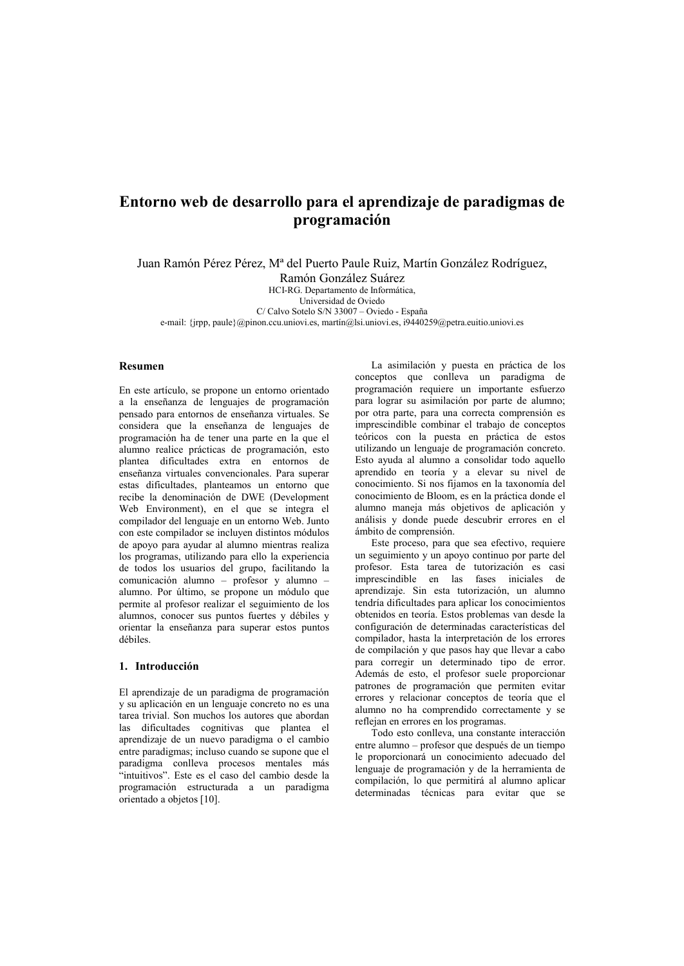# Entorno web de desarrollo para el aprendizaje de paradigmas de programación

Juan Ramón Pérez Pérez, M<sup>a</sup> del Puerto Paule Ruiz, Martín González Rodríguez,

Ramón González Suárez

HCI-RG Departamento de Informática

Liniversidad de Oviedo

C/ Calvo Sotelo S/N 33007 - Oviedo - España

e-mail: {irpp, paule} @pinon.ccu.uniovi.es, martin@lsi.uniovi.es,  $19440259$ @petra.euitio.uniovi.es

# Resumen

En este artículo, se propone un entorno orientado a la enseñanza de lenguajes de programación pensado para entornos de enseñanza virtuales. Se considera que la enseñanza de lenguaies de programación ha de tener una parte en la que el alumno realice prácticas de programación, esto plantea dificultades extra en entornos de enseñanza virtuales convencionales. Para superar estas dificultades, planteamos un entorno que recibe la denominación de DWE (Development Web Environment), en el que se integra el compilador del lenguaje en un entorno Web. Junto con este compilador se incluyen distintos módulos de apoyo para ayudar al alumno mientras realiza los programas, utilizando para ello la experiencia de todos los usuarios del grupo, facilitando la comunicación alumno - profesor y alumno alumno. Por último, se propone un módulo que permite al profesor realizar el seguimiento de los alumnos, conocer sus puntos fuertes y débiles y orientar la enseñanza para superar estos puntos débiles

# 1. Introducción

El aprendizaje de un paradigma de programación y su aplicación en un lenguaje concreto no es una tarea trivial. Son muchos los autores que abordan las dificultades cognitivas que plantea el aprendizaje de un nuevo paradigma o el cambio entre paradigmas: incluso cuando se supone que el paradigma conlleva procesos mentales más "intuitivos". Este es el caso del cambio desde la programación estructurada a un paradigma orientado a objetos [10].

La asimilación y puesta en práctica de los conceptos que conlleva un paradigma de programación requiere un importante esfuerzo para lograr su asimilación por parte de alumno; por otra parte, para una correcta comprensión es imprescindible combinar el trabajo de conceptos teóricos con la puesta en práctica de estos utilizando un lenguaje de programación concreto. Esto ayuda al alumno a consolidar todo aquello aprendido en teoría y a elevar su nivel de conocimiento. Si nos fijamos en la taxonomía del conocimiento de Bloom, es en la práctica donde el alumno maneja más objetivos de aplicación y análisis y donde puede descubrir errores en el ámbito de comprensión.

Este proceso, para que sea efectivo, requiere un seguimiento y un apoyo continuo por parte del profesor. Esta tarea de tutorización es casi imprescindible en las fases iniciales de aprendizaje. Sin esta tutorización, un alumno tendría dificultades para aplicar los conocimientos obtenidos en teoría. Estos problemas van desde la configuración de determinadas características del compilador, hasta la interpretación de los errores de compilación y que pasos hay que llevar a cabo para corregir un determinado tipo de error. Además de esto, el profesor suele proporcionar patrones de programación que permiten evitar errores y relacionar conceptos de teoría que el alumno no ha comprendido correctamente y se reflejan en errores en los programas.

Todo esto conlleva, una constante interacción entre alumno - profesor que después de un tiempo le proporcionará un conocimiento adecuado del lenguaje de programación y de la herramienta de compilación, lo que permitirá al alumno aplicar determinadas técnicas para evitar que se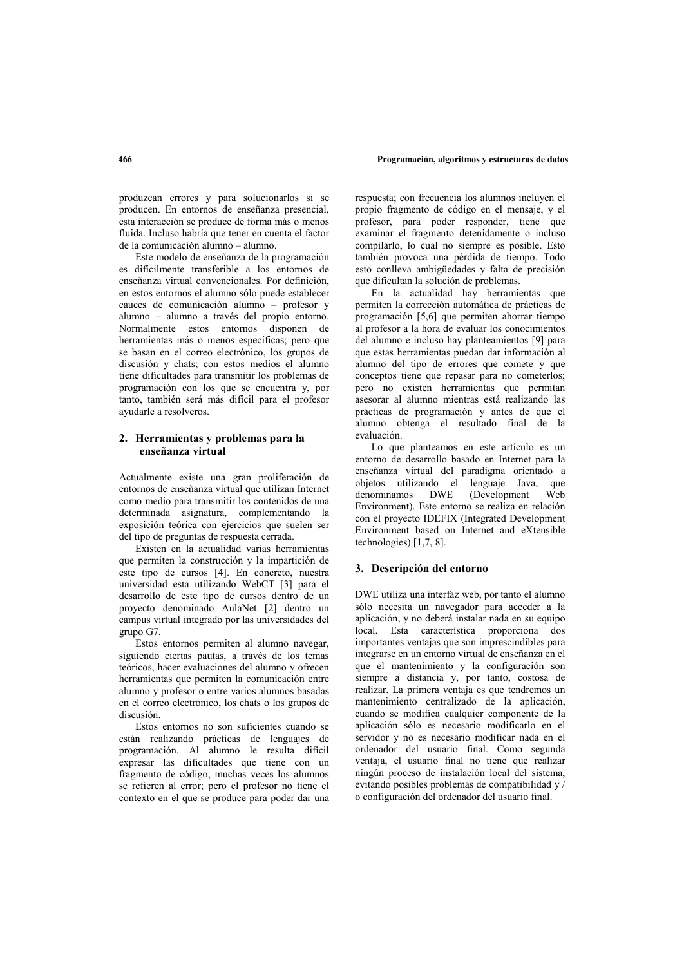#### Programación, algoritmos y estructuras de datos

produzcan errores y para solucionarlos si se producen. En entornos de enseñanza presencial, esta interacción se produce de forma más o menos fluida. Incluso habría que tener en cuenta el factor de la comunicación alumno - alumno.

Este modelo de enseñanza de la programación es difícilmente transferible a los entornos de enseñanza virtual convencionales. Por definición. en estos entornos el alumno sólo puede establecer cauces de comunicación alumno - profesor y alumno - alumno a través del propio entorno. Normalmente estos entornos disponen de herramientas más o menos específicas; pero que se basan en el correo electrónico. los grupos de discusión y chats; con estos medios el alumno tiene dificultades para transmitir los problemas de programación con los que se encuentra y, por tanto, también será más difícil para el profesor avudarle a resolveros.

# 2. Herramientas y problemas para la enseñanza virtual

Actualmente existe una gran proliferación de entornos de enseñanza virtual que utilizan Internet como medio para transmitir los contenidos de una determinada asignatura complementando la exposición teórica con ejercicios que suelen ser del tipo de preguntas de respuesta cerrada.

Existen en la actualidad varias herramientas que permiten la construcción y la impartición de este tipo de cursos [4]. En concreto, nuestra universidad esta utilizando WebCT [3] para el desarrollo de este tipo de cursos dentro de un proyecto denominado AulaNet [2] dentro un campus virtual integrado por las universidades del grupo G7.

Estos entornos permiten al alumno navegar, siguiendo ciertas pautas, a través de los temas teóricos, hacer evaluaciones del alumno y ofrecen herramientas que permiten la comunicación entre alumno y profesor o entre varios alumnos basadas en el correo electrónico, los chats o los grupos de discusión.

Estos entornos no son suficientes cuando se están realizando prácticas de lenguajes de programación. Al alumno le resulta difícil expresar las dificultades que tiene con un fragmento de código; muchas veces los alumnos se refieren al error; pero el profesor no tiene el contexto en el que se produce para poder dar una respuesta; con frecuencia los alumnos incluven el propio fragmento de código en el mensaje, y el profesor, para poder responder, tiene que examinar el fragmento detenidamente o incluso compilarlo, lo cual no siempre es posible. Esto también provoca una pérdida de tiempo. Todo esto conlleva ambiguedades y falta de precisión que dificultan la solución de problemas.

En la actualidad hay herramientas que permiten la corrección automática de prácticas de programación [5,6] que permiten ahorrar tiempo al profesor a la hora de evaluar los conocimientos del alumno e incluso hay planteamientos [9] para que estas herramientas puedan dar información al alumno del tipo de errores que comete y que conceptos tiene que repasar para no cometerlos; pero no existen herramientas que permitan asesorar al alumno mientras está realizando las prácticas de programación y antes de que el alumno obtenga el resultado final de la evaluación

Lo que planteamos en este artículo es un entorno de desarrollo basado en Internet para la enseñanza virtual del paradigma orientado a objetos utilizando el lenguaje Java, que denominamos DWE (Development  $\hat{\mathbf{W}}$ oh Environment). Este entorno se realiza en relación con el proyecto IDEFIX (Integrated Development Environment based on Internet and eXtensible technologies)  $[1,7,8]$ .

## 3. Descripción del entorno

DWE utiliza una interfaz web, por tanto el alumno sólo necesita un navegador para acceder a la aplicación, y no deberá instalar nada en su equipo local. Esta característica proporciona dos importantes ventajas que son imprescindibles para integrarse en un entorno virtual de enseñanza en el que el mantenimiento y la configuración son siempre a distancia y, por tanto, costosa de realizar. La primera ventaja es que tendremos un mantenimiento centralizado de la aplicación, cuando se modifica cualquier componente de la aplicación sólo es necesario modificarlo en el servidor y no es necesario modificar nada en el ordenador del usuario final. Como segunda ventaja, el usuario final no tiene que realizar ningún proceso de instalación local del sistema, evitando posibles problemas de compatibilidad y / o configuración del ordenador del usuario final.

## 466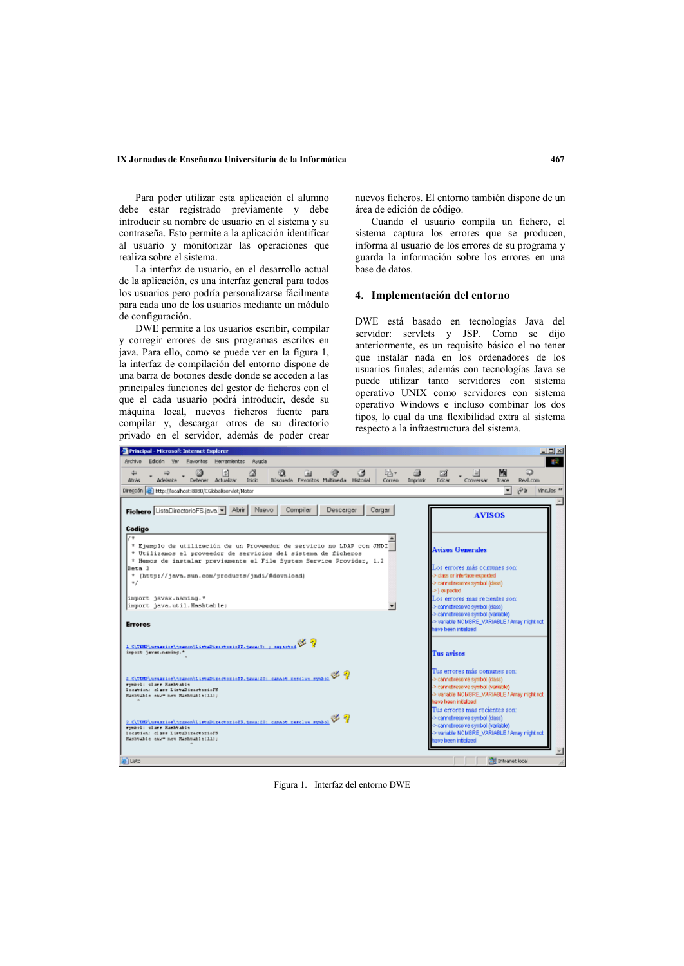#### IX Jornadas de Enseñanza Universitaria de la Informática

Para poder utilizar esta aplicación el alumno debe estar registrado previamente y debe introducir su nombre de usuario en el sistema y su contraseña. Esto permite a la aplicación identificar al usuario y monitorizar las operaciones que realiza sobre el sistema.

La interfaz de usuario, en el desarrollo actual de la aplicación, es una interfaz general para todos los usuarios pero podría personalizarse fácilmente para cada uno de los usuarios mediante un módulo de configuración.

DWE permite a los usuarios escribir, compilar y corregir errores de sus programas escritos en java. Para ello, como se puede ver en la figura 1, la interfaz de compilación del entorno dispone de una barra de botones desde donde se acceden a las principales funciones del gestor de ficheros con el que el cada usuario podrá introducir, desde su máquina local, nuevos ficheros fuente para compilar y, descargar otros de su directorio privado en el servidor, además de poder crear

nuevos ficheros. El entorno también dispone de un área de edición de código.

Cuando el usuario compila un fichero, el sistema captura los errores que se producen, informa al usuario de los errores de su programa y guarda la información sobre los errores en una base de datos.

## 4. Implementación del entorno

DWE está basado en tecnologías Java del servidor: servlets y JSP. Como se dijo anteriormente, es un requisito básico el no tener que instalar nada en los ordenadores de los usuarios finales; además con tecnologías Java se puede utilizar tanto servidores con sistema operativo UNIX como servidores con sistema operativo Windows e incluso combinar los dos tipos, lo cual da una flexibilidad extra al sistema respecto a la infraestructura del sistema.



Figura 1. Interfaz del entorno DWE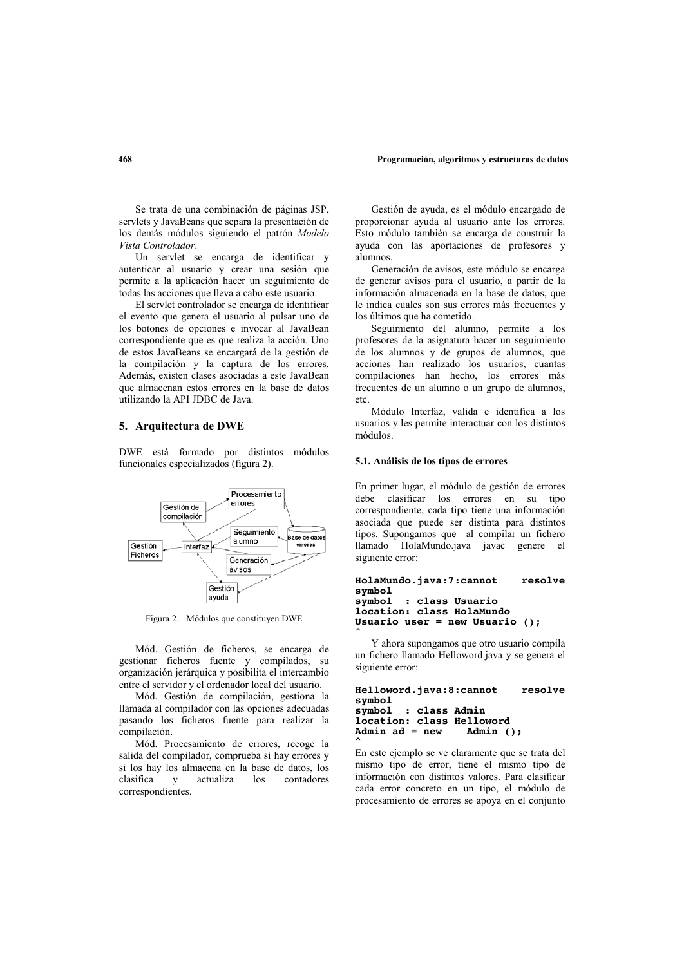#### Programación, algoritmos y estructuras de datos

Se trata de una combinación de páginas JSP, servlets y JavaBeans que separa la presentación de los demás módulos siguiendo el patrón Modelo Vista Controlador.

Un servlet se encarga de identificar y autenticar al usuario y crear una sesión que permite a la aplicación hacer un seguimiento de todas las acciones que lleva a cabo este usuario.

El servlet controlador se encarga de identificar el evento que genera el usuario al pulsar uno de los botones de opciones e invocar al JavaBean correspondiente que es que realiza la acción. Uno de estos JavaBeans se encargará de la gestión de la compilación y la captura de los errores. Además, existen clases asociadas a este JavaBean que almacenan estos errores en la base de datos utilizando la API JDBC de Java.

# 5. Arquitectura de DWE

DWE está formado por distintos módulos funcionales especializados (figura 2).



Figura 2. Módulos que constituyen DWE

Mód. Gestión de ficheros, se encarga de gestionar ficheros fuente y compilados, su organización jerárquica y posibilita el intercambio entre el servidor y el ordenador local del usuario.

Mód. Gestión de compilación, gestiona la llamada al compilador con las opciones adecuadas pasando los ficheros fuente para realizar la compilación.

Mód. Procesamiento de errores, recoge la salida del compilador, comprueba si hay errores y si los hay los almacena en la base de datos, los clasifica  $\overline{\mathbf{v}}$ actualiza  $\log$ contadores correspondientes.

Gestión de avuda, es el módulo encargado de proporcionar avuda al usuario ante los errores. Esto módulo también se encarga de construir la ayuda con las aportaciones de profesores y alumnos.

Generación de avisos, este módulo se encarga de generar avisos para el usuario, a partir de la información almacenada en la base de datos, que le indica cuales son sus errores más frecuentes y los últimos que ha cometido.

Seguimiento del alumno, permite a los profesores de la asignatura hacer un seguimiento de los alumnos y de grupos de alumnos, que acciones han realizado los usuarios, cuantas compilaciones han hecho, los errores más frecuentes de un alumno o un grupo de alumnos, etc

Módulo Interfaz, valida e identifica a los usuarios y les permite interactuar con los distintos módulos

## 5.1. Análisis de los tipos de errores

En primer lugar, el módulo de gestión de errores debe clasificar los errores en su tipo correspondiente, cada tipo tiene una información asociada que puede ser distinta para distintos tipos. Supongamos que al compilar un fichero llamado HolaMundo.java javac genere el siguiente error:

```
HolaMundo.java:7:cannot
                            resolve
symbol
symbol
        : class Usuario
location: class HolaMundo
Usuario user = new Usuario ();
```
Y ahora supongamos que otro usuario compila un fichero llamado Helloword.java y se genera el siguiente error:

```
Helloword.java:8:cannot
                           resolve
symbol
symbol
        : class Admin
location: class Helloword
                  Admin ();
Admin ad = new
```
En este ejemplo se ve claramente que se trata del mismo tipo de error, tiene el mismo tipo de información con distintos valores. Para clasificar cada error concreto en un tipo, el módulo de procesamiento de errores se apoya en el conjunto

#### 468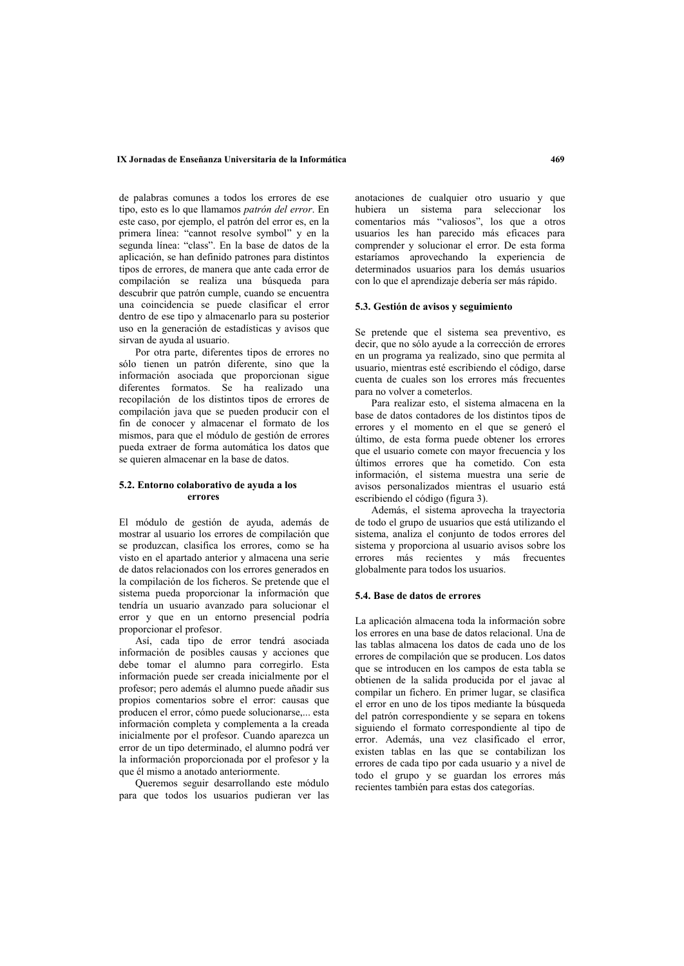## IX Jornadas de Enseñanza Universitaria de la Informática

de palabras comunes a todos los errores de ese tipo, esto es lo que llamamos patrón del error. En este caso, por ejemplo, el patrón del error es, en la primera línea: "cannot resolve symbol" y en la segunda línea: "class". En la base de datos de la aplicación, se han definido patrones para distintos tipos de errores, de manera que ante cada error de compilación se realiza una búsqueda para descubrir que patrón cumple, cuando se encuentra una coincidencia se puede clasificar el error dentro de ese tipo y almacenarlo para su posterior uso en la generación de estadísticas y avisos que sirvan de ayuda al usuario.

Por otra parte, diferentes tipos de errores no sólo tienen un patrón diferente, sino que la información asociada que proporcionan sigue diferentes formatos. Se ha realizado una recopilación de los distintos tipos de errores de compilación java que se pueden producir con el fin de conocer y almacenar el formato de los mismos, para que el módulo de gestión de errores pueda extraer de forma automática los datos que se quieren almacenar en la base de datos.

## 5.2. Entorno colaborativo de avuda a los errores

El módulo de gestión de avuda además de mostrar al usuario los errores de compilación que se produzcan, clasifica los errores, como se ha visto en el apartado anterior y almacena una serie de datos relacionados con los errores generados en la compilación de los ficheros. Se pretende que el sistema pueda proporcionar la información que tendría un usuario avanzado para solucionar el error y que en un entorno presencial podría proporcionar el profesor

Así, cada tipo de error tendrá asociada información de posibles causas y acciones que debe tomar el alumno para corregirlo. Esta información puede ser creada inicialmente por el profesor; pero además el alumno puede añadir sus propios comentarios sobre el error: causas que producen el error, cómo puede solucionarse,... esta información completa y complementa a la creada inicialmente por el profesor. Cuando aparezca un error de un tipo determinado, el alumno podrá ver la información proporcionada por el profesor y la que él mismo a anotado anteriormente.

Queremos seguir desarrollando este módulo para que todos los usuarios pudieran ver las anotaciones de cualquier otro usuario y que hubiera un sistema para seleccionar los comentarios más "valiosos", los que a otros usuarios les han parecido más eficaces para comprender y solucionar el error. De esta forma estaríamos aprovechando la experiencia de determinados usuarios para los demás usuarios con lo que el aprendizaje debería ser más rápido.

## 5.3. Gestión de avisos y seguimiento

Se pretende que el sistema sea preventivo, es decir, que no sólo ayude a la corrección de errores en un programa ya realizado, sino que permita al usuario, mientras esté escribiendo el código, darse cuenta de cuales son los errores más frecuentes para no volver a cometerlos

Para realizar esto, el sistema almacena en la base de datos contadores de los distintos tipos de errores y el momento en el que se generó el último, de esta forma puede obtener los errores que el usuario comete con mayor frecuencia y los últimos errores que ha cometido. Con esta información, el sistema muestra una serie de avisos personalizados mientras el usuario está escribiendo el código (figura 3).

Además, el sistema aprovecha la trayectoria de todo el grupo de usuarios que está utilizando el sistema, analiza el conjunto de todos errores del sistema y proporciona al usuario avisos sobre los errores más recientes y más frecuentes globalmente para todos los usuarios.

## 5.4. Base de datos de errores

La aplicación almacena toda la información sobre los errores en una base de datos relacional. Una de las tablas almacena los datos de cada uno de los errores de compilación que se producen. Los datos que se introducen en los campos de esta tabla se obtienen de la salida producida por el javac al compilar un fichero. En primer lugar, se clasifica el error en uno de los tipos mediante la búsqueda del patrón correspondiente y se separa en tokens siguiendo el formato correspondiente al tipo de error. Además, una vez clasificado el error, existen tablas en las que se contabilizan los errores de cada tipo por cada usuario y a nivel de todo el grupo y se guardan los errores más recientes también para estas dos categorías.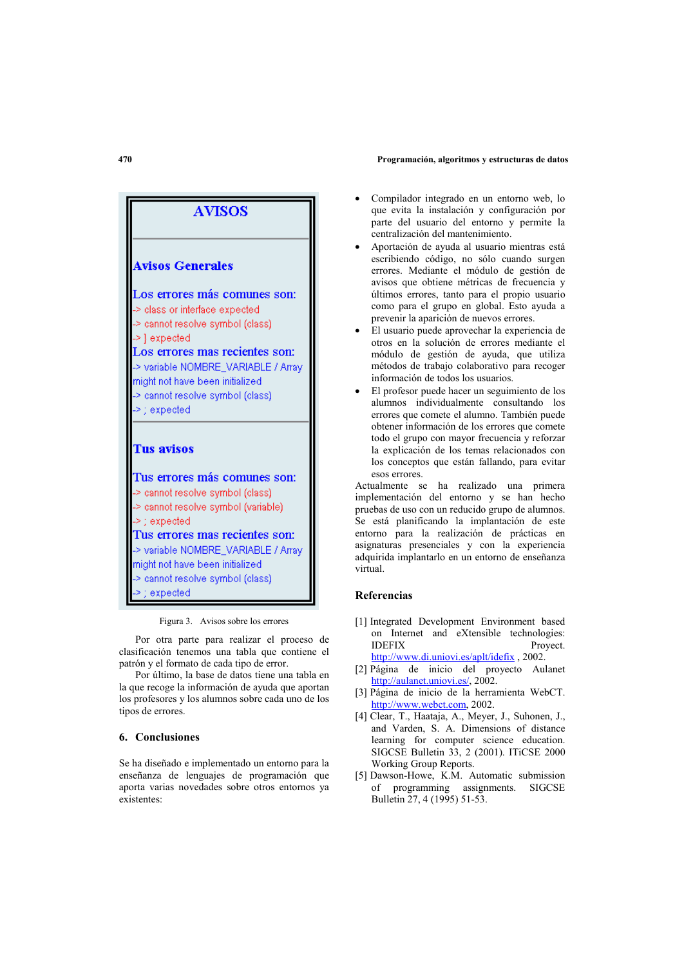#### Programación, algoritmos y estructuras de datos



## Figura 3. Avisos sobre los errores

Por otra parte para realizar el proceso de clasificación tenemos una tabla que contiene el patrón y el formato de cada tipo de error.

Por último, la base de datos tiene una tabla en la que recoge la información de ayuda que aportan los profesores y los alumnos sobre cada uno de los tipos de errores.

# 6. Conclusiones

Se ha diseñado e implementado un entorno para la enseñanza de lenguajes de programación que aporta varias novedades sobre otros entornos va existentes:

- Compilador integrado en un entorno web, lo que evita la instalación y configuración por parte del usuario del entorno y permite la centralización del mantenimiento.
- Aportación de ayuda al usuario mientras está escribiendo código, no sólo cuando surgen errores. Mediante el módulo de gestión de avisos que obtiene métricas de frecuencia y últimos errores, tanto para el propio usuario como para el grupo en global. Esto ayuda a prevenir la aparición de nuevos errores.
- El usuario puede aprovechar la experiencia de otros en la solución de errores mediante el módulo de gestión de ayuda, que utiliza métodos de trabajo colaborativo para recoger información de todos los usuarios.
- El profesor puede hacer un seguimiento de los alumnos individualmente consultando los errores que comete el alumno. También puede obtener información de los errores que comete todo el grupo con mayor frecuencia y reforzar la explicación de los temas relacionados con los conceptos que están fallando, para evitar esos errores.

Actualmente se ha realizado una primera implementación del entorno y se han hecho pruebas de uso con un reducido grupo de alumnos. Se está planificando la implantación de este entorno para la realización de prácticas en asignaturas presenciales y con la experiencia adquirida implantarlo en un entorno de enseñanza virtual

## **Referencias**

- [1] Integrated Development Environment based on Internet and eXtensible technologies: **IDEFIX** Proyect. http://www.di.uniovi.es/aplt/idefix , 2002.
- [2] Página de inicio del proyecto Aulanet http://aulanet.uniovi.es/, 2002.
- [3] Página de inicio de la herramienta WebCT. http://www.webct.com, 2002.
- [4] Clear, T., Haataja, A., Meyer, J., Suhonen, J., and Varden, S. A. Dimensions of distance learning for computer science education. SIGCSE Bulletin 33, 2 (2001). ITiCSE 2000 Working Group Reports.
- [5] Dawson-Howe, K.M. Automatic submission of programming assignments. SIGCSE Bulletin 27, 4 (1995) 51-53.

# $470$